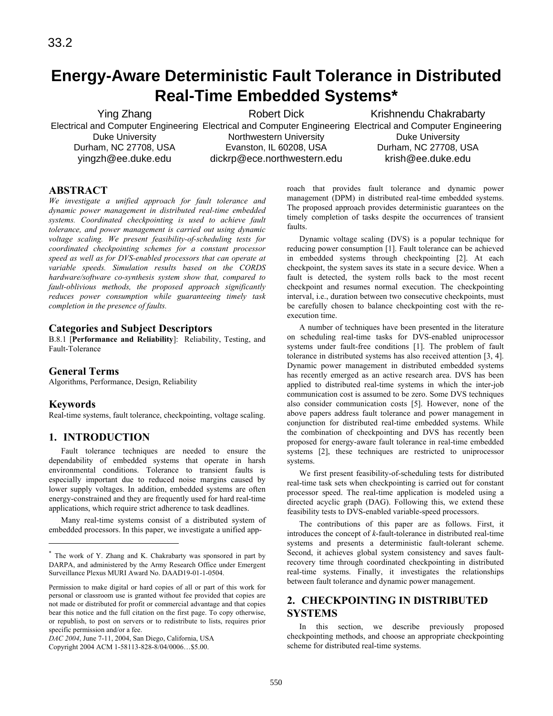# **Energy-Aware Deterministic Fault Tolerance in Distributed Real-Time Embedded Systems\***

Ying Zhang Electrical and Computer Engineering Electrical and Computer Engineering Electrical and Computer Engineering Duke University Durham, NC 27708, USA yingzh@ee.duke.edu Robert Dick Northwestern University Evanston, IL 60208, USA dickrp@ece.northwestern.edu Krishnendu Chakrabarty Duke University Durham, NC 27708, USA krish@ee.duke.edu

## **ABSTRACT**

*We investigate a unified approach for fault tolerance and dynamic power management in distributed real-time embedded systems. Coordinated checkpointing is used to achieve fault tolerance, and power management is carried out using dynamic voltage scaling. We present feasibility-of-scheduling tests for coordinated checkpointing schemes for a constant processor speed as well as for DVS-enabled processors that can operate at variable speeds. Simulation results based on the CORDS hardware/software co-synthesis system show that, compared to fault-oblivious methods, the proposed approach significantly reduces power consumption while guaranteeing timely task completion in the presence of faults.*

### **Categories and Subject Descriptors**

B.8.1 [**Performance and Reliability**]: Reliability, Testing, and Fault-Tolerance

### **General Terms**

Algorithms, Performance, Design, Reliability

### **Keywords**

j

Real-time systems, fault tolerance, checkpointing, voltage scaling.

# **1. INTRODUCTION\***

 Fault tolerance techniques are needed to ensure the dependability of embedded systems that operate in harsh environmental conditions. Tolerance to transient faults is especially important due to reduced noise margins caused by lower supply voltages. In addition, embedded systems are often energy-constrained and they are frequently used for hard real-time applications, which require strict adherence to task deadlines.

 Many real-time systems consist of a distributed system of embedded processors. In this paper, we investigate a unified approach that provides fault tolerance and dynamic power management (DPM) in distributed real-time embedded systems. The proposed approach provides deterministic guarantees on the timely completion of tasks despite the occurrences of transient faults.

 Dynamic voltage scaling (DVS) is a popular technique for reducing power consumption [1]. Fault tolerance can be achieved in embedded systems through checkpointing [2]. At each checkpoint, the system saves its state in a secure device. When a fault is detected, the system rolls back to the most recent checkpoint and resumes normal execution. The checkpointing interval, i.e., duration between two consecutive checkpoints, must be carefully chosen to balance checkpointing cost with the reexecution time.

 A number of techniques have been presented in the literature on scheduling real-time tasks for DVS-enabled uniprocessor systems under fault-free conditions [1]. The problem of fault tolerance in distributed systems has also received attention [3, 4]. Dynamic power management in distributed embedded systems has recently emerged as an active research area. DVS has been applied to distributed real-time systems in which the inter-job communication cost is assumed to be zero. Some DVS techniques also consider communication costs [5]. However, none of the above papers address fault tolerance and power management in conjunction for distributed real-time embedded systems. While the combination of checkpointing and DVS has recently been proposed for energy-aware fault tolerance in real-time embedded systems [2], these techniques are restricted to uniprocessor systems.

 We first present feasibility-of-scheduling tests for distributed real-time task sets when checkpointing is carried out for constant processor speed. The real-time application is modeled using a directed acyclic graph (DAG). Following this, we extend these feasibility tests to DVS-enabled variable-speed processors.

 The contributions of this paper are as follows. First, it introduces the concept of *k*-fault-tolerance in distributed real-time systems and presents a deterministic fault-tolerant scheme. Second, it achieves global system consistency and saves faultrecovery time through coordinated checkpointing in distributed real-time systems. Finally, it investigates the relationships between fault tolerance and dynamic power management.

# **2. CHECKPOINTING IN DISTRIBUTED SYSTEMS**

 In this section, we describe previously proposed checkpointing methods, and choose an appropriate checkpointing scheme for distributed real-time systems.

<sup>\*</sup> The work of Y. Zhang and K. Chakrabarty was sponsored in part by DARPA, and administered by the Army Research Office under Emergent Surveillance Plexus MURI Award No. DAAD19-01-1-0504.

Permission to make digital or hard copies of all or part of this work for personal or classroom use is granted without fee provided that copies are not made or distributed for profit or commercial advantage and that copies bear this notice and the full citation on the first page. To copy otherwise, or republish, to post on servers or to redistribute to lists, requires prior specific permission and/or a fee.

*DAC 2004*, June 7-11, 2004, San Diego, California, USA

Copyright 2004 ACM 1-58113-828-8/04/0006…\$5.00.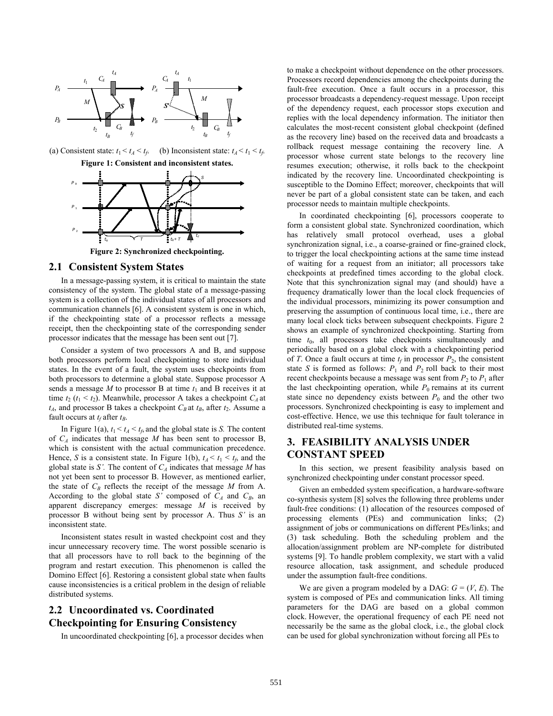

(a) Consistent state:  $t_1 < t_A < t_f$ . (b) Inconsistent state:  $t_A < t_1 < t_f$ . **Figure 1: Consistent and inconsistent states.** 



**Figure 2: Synchronized checkpointing.** 

### **2.1 Consistent System States**

 In a message-passing system, it is critical to maintain the state consistency of the system. The global state of a message-passing system is a collection of the individual states of all processors and communication channels [6]. A consistent system is one in which, if the checkpointing state of a processor reflects a message receipt, then the checkpointing state of the corresponding sender processor indicates that the message has been sent out [7].

 Consider a system of two processors A and B, and suppose both processors perform local checkpointing to store individual states. In the event of a fault, the system uses checkpoints from both processors to determine a global state. Suppose processor A sends a message  $M$  to processor  $B$  at time  $t_1$  and  $B$  receives it at time  $t_2$  ( $t_1 < t_2$ ). Meanwhile, processor A takes a checkpoint  $C_A$  at  $t_A$ , and processor B takes a checkpoint  $C_B$  at  $t_B$ , after  $t_2$ . Assume a fault occurs at  $t_f$  after  $t_B$ .

In Figure 1(a),  $t_1 < t_A < t_f$ , and the global state is *S*. The content of  $C_A$  indicates that message M has been sent to processor B, which is consistent with the actual communication precedence. Hence, *S* is a consistent state. In Figure 1(b),  $t_A < t_1 < t_f$ , and the global state is *S'*. The content of  $C_A$  indicates that message *M* has not yet been sent to processor B. However, as mentioned earlier, the state of  $C_B$  reflects the receipt of the message  $M$  from A. According to the global state *S'* composed of  $C_A$  and  $C_B$ , an apparent discrepancy emerges: message *M* is received by processor B without being sent by processor A. Thus *S'* is an inconsistent state.

 Inconsistent states result in wasted checkpoint cost and they incur unnecessary recovery time. The worst possible scenario is that all processors have to roll back to the beginning of the program and restart execution. This phenomenon is called the Domino Effect [6]. Restoring a consistent global state when faults cause inconsistencies is a critical problem in the design of reliable distributed systems.

# **2.2 Uncoordinated vs. Coordinated Checkpointing for Ensuring Consistency**

In uncoordinated checkpointing [6], a processor decides when

to make a checkpoint without dependence on the other processors. Processors record dependencies among the checkpoints during the fault-free execution. Once a fault occurs in a processor, this processor broadcasts a dependency-request message. Upon receipt of the dependency request, each processor stops execution and replies with the local dependency information. The initiator then calculates the most-recent consistent global checkpoint (defined as the recovery line) based on the received data and broadcasts a rollback request message containing the recovery line. A processor whose current state belongs to the recovery line resumes execution; otherwise, it rolls back to the checkpoint indicated by the recovery line. Uncoordinated checkpointing is susceptible to the Domino Effect; moreover, checkpoints that will never be part of a global consistent state can be taken, and each processor needs to maintain multiple checkpoints.

 In coordinated checkpointing [6], processors cooperate to form a consistent global state. Synchronized coordination, which has relatively small protocol overhead, uses a global synchronization signal, i.e., a coarse-grained or fine-grained clock, to trigger the local checkpointing actions at the same time instead of waiting for a request from an initiator; all processors take checkpoints at predefined times according to the global clock. Note that this synchronization signal may (and should) have a frequency dramatically lower than the local clock frequencies of the individual processors, minimizing its power consumption and preserving the assumption of continuous local time, i.e., there are many local clock ticks between subsequent checkpoints. Figure 2 shows an example of synchronized checkpointing. Starting from time  $t_0$ , all processors take checkpoints simultaneously and periodically based on a global clock with a checkpointing period of *T*. Once a fault occurs at time  $t_f$  in processor  $P_2$ , the consistent state *S* is formed as follows:  $P_1$  and  $P_2$  roll back to their most recent checkpoints because a message was sent from  $P_2$  to  $P_1$  after the last checkpointing operation, while  $P_0$  remains at its current state since no dependency exists between  $P_0$  and the other two processors. Synchronized checkpointing is easy to implement and cost-effective. Hence, we use this technique for fault tolerance in distributed real-time systems.

# **3. FEASIBILITY ANALYSIS UNDER CONSTANT SPEED**

 In this section, we present feasibility analysis based on synchronized checkpointing under constant processor speed.

 Given an embedded system specification, a hardware-software co-synthesis system [8] solves the following three problems under fault-free conditions: (1) allocation of the resources composed of processing elements (PEs) and communication links; (2) assignment of jobs or communications on different PEs/links; and (3) task scheduling. Both the scheduling problem and the allocation/assignment problem are NP-complete for distributed systems [9]. To handle problem complexity, we start with a valid resource allocation, task assignment, and schedule produced under the assumption fault-free conditions.

We are given a program modeled by a DAG:  $G = (V, E)$ . The system is composed of PEs and communication links. All timing parameters for the DAG are based on a global common clock. However, the operational frequency of each PE need not necessarily be the same as the global clock, i.e., the global clock can be used for global synchronization without forcing all PEs to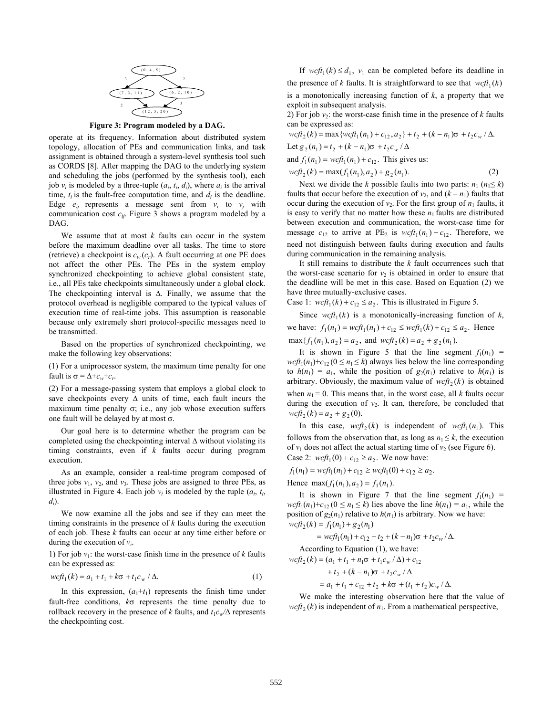

**Figure 3: Program modeled by a DAG.** 

operate at its frequency. Information about distributed system topology, allocation of PEs and communication links, and task assignment is obtained through a system-level synthesis tool such as CORDS [8]. After mapping the DAG to the underlying system and scheduling the jobs (performed by the synthesis tool), each job  $v_i$  is modeled by a three-tuple  $(a_i, t_i, d_i)$ , where  $a_i$  is the arrival time,  $t_i$  is the fault-free computation time, and  $d_i$  is the deadline. Edge  $e_{ij}$  represents a message sent from  $v_i$  to  $v_j$  with communication cost *cij*. Figure 3 shows a program modeled by a DAG.

 We assume that at most *k* faults can occur in the system before the maximum deadline over all tasks. The time to store (retrieve) a checkpoint is  $c_w(c_r)$ . A fault occurring at one PE does not affect the other PEs. The PEs in the system employ synchronized checkpointing to achieve global consistent state, i.e., all PEs take checkpoints simultaneously under a global clock. The checkpointing interval is ∆. Finally, we assume that the protocol overhead is negligible compared to the typical values of execution time of real-time jobs. This assumption is reasonable because only extremely short protocol-specific messages need to be transmitted.

 Based on the properties of synchronized checkpointing, we make the following key observations:

(1) For a uniprocessor system, the maximum time penalty for one fault is  $\sigma = \Delta + c_w + c_r$ .

(2) For a message-passing system that employs a global clock to save checkpoints every ∆ units of time, each fault incurs the maximum time penalty  $σ$ ; i.e., any job whose execution suffers one fault will be delayed by at most  $\sigma$ .

 Our goal here is to determine whether the program can be completed using the checkpointing interval ∆ without violating its timing constraints, even if *k* faults occur during program execution.

 As an example, consider a real-time program composed of three jobs  $v_1$ ,  $v_2$ , and  $v_3$ . These jobs are assigned to three PEs, as illustrated in Figure 4. Each job  $v_i$  is modeled by the tuple  $(a_i, t_i)$ , *di* ).

 We now examine all the jobs and see if they can meet the timing constraints in the presence of *k* faults during the execution of each job. These *k* faults can occur at any time either before or during the execution of  $v_i$ .

1) For job  $v_1$ : the worst-case finish time in the presence of  $k$  faults can be expressed as:

$$
wcf_{1}(k) = a_{1} + t_{1} + k\sigma + t_{1}c_{w} / \Delta.
$$
 (1)

In this expression,  $(a_1 + t_1)$  represents the finish time under fault-free conditions, *k*σ represents the time penalty due to rollback recovery in the presence of *k* faults, and  $t_1c_w/\Delta$  represents the checkpointing cost.

If  $wcf_1(k) \leq d_1$ ,  $v_1$  can be completed before its deadline in the presence of *k* faults. It is straightforward to see that  $wcf_{1}(k)$ is a monotonically increasing function of *k*, a property that we exploit in subsequent analysis.

2) For job  $v_2$ : the worst-case finish time in the presence of  $k$  faults can be expressed as:

$$
wcf_{2}(k) = \max \{wcf_{1}(n_{1}) + c_{12}, a_{2}\} + t_{2} + (k - n_{1})\sigma + t_{2}c_{w} / \Delta.
$$
  
Let  $g_{2}(n_{1}) = t_{2} + (k - n_{1})\sigma + t_{2}c_{w} / \Delta$   
and  $f_{1}(n_{1}) = wcf_{1}(n_{1}) + c_{1}$ . This gives us:

and  $f_1(n_1) = wct_1(n_1) + c_{12}$ . This gives us

$$
wcf_2(k) = \max(f_1(n_1), a_2) + g_2(n_1). \tag{2}
$$

Next we divide the *k* possible faults into two parts:  $n_1$  ( $n_1 \le k$ ) faults that occur before the execution of  $v_2$ , and  $(k - n_1)$  faults that occur during the execution of  $v_2$ . For the first group of  $n_1$  faults, it is easy to verify that no matter how these  $n_1$  faults are distributed between execution and communication, the worst-case time for message  $c_{12}$  to arrive at PE<sub>2</sub> is  $wcf_{1}(n_1) + c_{12}$ . Therefore, we need not distinguish between faults during execution and faults during communication in the remaining analysis.

 It still remains to distribute the *k* fault occurrences such that the worst-case scenario for  $v_2$  is obtained in order to ensure that the deadline will be met in this case. Based on Equation (2) we have three mutually-exclusive cases.

Case 1:  $wcft_1(k) + c_{12} \le a_2$ . This is illustrated in Figure 5.

Since  $wcf_{1}(k)$  is a monotonically-increasing function of *k*, we have:  $f_1(n_1) = wcf_1(n_1) + c_{12} \leq wcf_1(k) + c_{12} \leq a_2$ . Hence

 $\max\{f_1(n_1), a_2\} = a_2$ , and  $\text{wcf}_2(k) = a_2 + g_2(n_1)$ .

It is shown in Figure 5 that the line segment  $f_1(n_1)$  =  $wcf_{1}(n_{1})+c_{12}$  ( $0 \leq n_{1} \leq k$ ) always lies below the line corresponding to  $h(n_1) = a_1$ , while the position of  $g_2(n_1)$  relative to  $h(n_1)$  is arbitrary. Obviously, the maximum value of  $wcf_t(k)$  is obtained when  $n_1 = 0$ . This means that, in the worst case, all *k* faults occur during the execution of  $v_2$ . It can, therefore, be concluded that  $\frac{wcf_2(k)}{=} a_2 + g_2(0).$ 

In this case,  $wcf_2(k)$  is independent of  $wcf_1(n_1)$ . This follows from the observation that, as long as  $n_1 \leq k$ , the execution of  $v_1$  does not affect the actual starting time of  $v_2$  (see Figure 6). Case 2:  $wcft_1(0) + c_{12} \ge a_2$ . We now have:

 $f_1(n_1) = wcf_1(n_1) + c_{12} \geq wcf_1(0) + c_{12} \geq a_2.$ 

Hence  $\max(f_1(n_1), a_2) = f_1(n_1)$ .

It is shown in Figure 7 that the line segment  $f_1(n_1)$  =  $wcf_1(n_1)+c_{12}$   $(0 \le n_1 \le k)$  lies above the line  $h(n_1) = a_1$ , while the position of  $g_2(n_1)$  relative to  $h(n_1)$  is arbitrary. Now we have:  $wcft_2(k) = f_1(n_1) + g_2(n_1)$ 

$$
= wcf t_1(n_1) + c_{12} + t_2 + (k - n_1)\sigma + t_2c_w/\Delta.
$$

According to Equation (1), we have:  

$$
wcf t_2(k) = (a_1 + t_1 + n_1 \sigma + t_1 c_w / \Delta) + c_{12}
$$

$$
+ t_2 + (k - n_1)\sigma + t_2 c_w / \Delta
$$

$$
= a_1 + t_1 + c_{12} + t_2 + k\sigma + (t_1 + t_2)c_w / \Delta.
$$

 We make the interesting observation here that the value of  $wcf_2(k)$  is independent of  $n_1$ . From a mathematical perspective,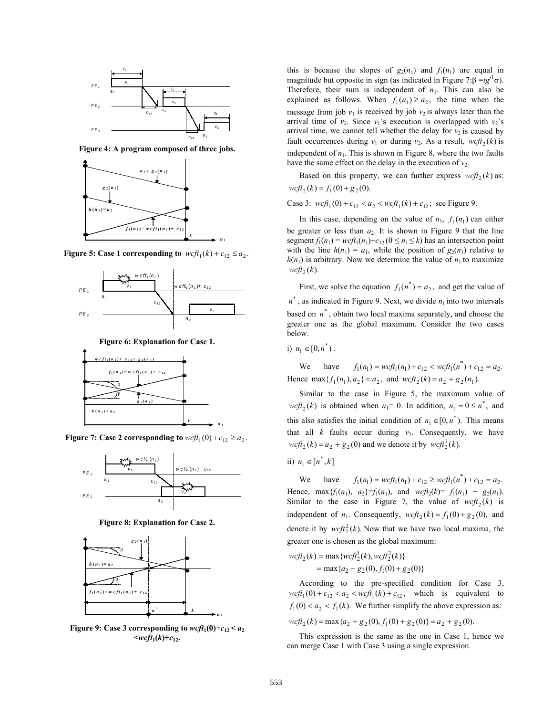

**Figure 4: A program composed of three jobs.** 



**Figure 5: Case 1 corresponding to**  $wcf_1(k) + c_{12} \le a_2$ .



**Figure 6: Explanation for Case 1.** 



**Figure 7: Case 2 corresponding to**  $wcf_{1}(0) + c_{12} \ge a_{2}$ .



**Figure 8: Explanation for Case 2.** 



**Figure 9:** Case 3 corresponding to  $wcft_1(0)+c_{12} < a_2$  $\leq$ *wcft*<sub>1</sub>(*k*)+*c*<sub>12</sub>**.** 

this is because the slopes of  $g_2(n_1)$  and  $f_1(n_1)$  are equal in magnitude but opposite in sign (as indicated in Figure 7:β = $t$ g<sup>-1</sup>σ). Therefore, their sum is independent of  $n_1$ . This can also be explained as follows. When  $f_1(n_1) \ge a_2$ , the time when the message from job  $v_1$  is received by job  $v_2$  is always later than the arrival time of  $v_2$ . Since  $v_1$ 's execution is overlapped with  $v_2$ 's arrival time, we cannot tell whether the delay for  $v_2$  is caused by fault occurrences during  $v_1$  or during  $v_2$ . As a result,  $wcf_2(k)$  is independent of  $n_1$ . This is shown in Figure 8, where the two faults have the same effect on the delay in the execution of  $v_2$ .

Based on this property, we can further express  $wcf_2(k)$  as:  $wcft$ <sub>2</sub>  $(k) = f_1(0) + g_2(0)$ .

Case 3:  $wcf_1(0) + c_{12} < a_2 < wcf_1(k) + c_{12}$ ; see Figure 9.

In this case, depending on the value of  $n_1$ ,  $f_1(n_1)$  can either be greater or less than  $a_2$ . It is shown in Figure 9 that the line segment  $f_1(n_1) = wcf t_1(n_1) + c_{12} (0 \le n_1 \le k)$  has an intersection point with the line  $h(n_1) = a_1$ , while the position of  $g_2(n_1)$  relative to  $h(n_1)$  is arbitrary. Now we determine the value of  $n_1$  to maximize  $\mathit{wcft}_2(k)$ .

First, we solve the equation  $f_1(n^*) = a_2$ , and get the value of  $n^*$ , as indicated in Figure 9. Next, we divide  $n_1$  into two intervals based on  $n^*$ , obtain two local maxima separately, and choose the greater one as the global maximum. Consider the two cases below.

i)  $n_1 \in [0, n^*)$ .

We have  $f_1(n_1) = wcf t_1(n_1) + c_{12} < wcf t_1(n^*) + c_{12} = a_2$ . Hence max  ${f_1(n_1), a_2} = a_2$ , and  $wcf_2(k) = a_2 + g_2(n_1)$ .

 Similar to the case in Figure 5, the maximum value of  $wcft_2(k)$  is obtained when  $n_1 = 0$ . In addition,  $n_1 = 0 \le n^*$ , and this also satisfies the initial condition of  $n_1 \in [0, n^*)$ . This means that all  $k$  faults occur during  $v_2$ . Consequently, we have  $wcf_2(k) = a_2 + g_2(0)$  and we denote it by  $wcf_2(k)$ .

ii)  $n_1 \in [n^*, k]$ 

We have  $f_1(n_1) = wcf t_1(n_1) + c_{12} \geq wcf t_1(n^*) + c_{12} = a_2$ . Hence,  $\max \{f_1(n_1), a_2\} = f_1(n_1), \text{ and } wcf_2(k) = f_1(n_1) + g_2(n_1).$ Similar to the case in Figure 7, the value of  $wcf_2(k)$  is independent of  $n_1$ . Consequently,  $wcf_2(k) = f_1(0) + g_2(0)$ , and denote it by  $wcf_2^2(k)$ . Now that we have two local maxima, the greater one is chosen as the global maximum:

$$
wcf_2(k) = \max \{wcf_2^1(k), wcf_2^2(k)\}
$$
  
= 
$$
\max \{a_2 + g_2(0), f_1(0) + g_2(0)\}
$$

 According to the pre-specified condition for Case 3,  $wcf_{1}(0) + c_{12} < a_{2} < wcf_{1}(k) + c_{12}$ , which is equivalent to  $f_1(0) < a_2 < f_1(k)$ . We further simplify the above expression as:

 $\int w c f t_2(k) = \max \{ a_2 + g_2(0), f_1(0) + g_2(0) \} = a_2 + g_2(0).$ 

 This expression is the same as the one in Case 1, hence we can merge Case 1 with Case 3 using a single expression.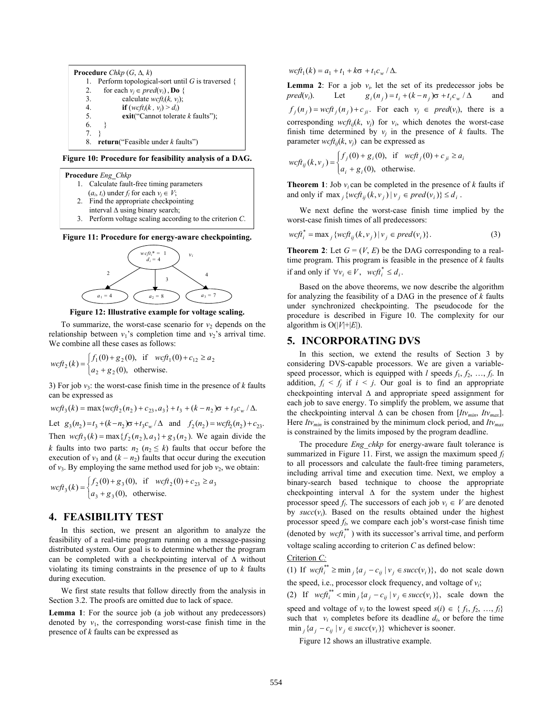**Procedure** *Chkp* (*G*, ∆*, k*) 1. Perform topological-sort until *G* is traversed { 2. for each  $v_j \in pred(v_i)$ , **Do** {<br>3. calculate *wcfti*(*k*, *v*<sub>*i*</sub>): 3. calculate  $wcft_i(k, v_j)$ ;<br>4. **if**  $(wcft_i(k, v_i) > d_i)$ 4. **if**  $(wcft_i(k, v_j) > d_i)$ <br>5. **exit**("Cannot tolerat 5. **exit**("Cannot tolerate *k* faults");  $6.$ } 7. } 8. **return**("Feasible under *k* faults")

**Figure 10: Procedure for feasibility analysis of a DAG.** 



**Figure 11: Procedure for energy-aware checkpointing.** 



**Figure 12: Illustrative example for voltage scaling.** 

To summarize, the worst-case scenario for  $v_2$  depends on the relationship between  $v_1$ 's completion time and  $v_2$ 's arrival time. We combine all these cases as follows:

$$
wcf t_2(k) = \begin{cases} f_1(0) + g_2(0), & \text{if } wcf t_1(0) + c_{12} \ge a_2\\ a_2 + g_2(0), & \text{otherwise.} \end{cases}
$$

3) For job  $v_3$ : the worst-case finish time in the presence of  $k$  faults can be expressed as

$$
wcf_3(k) = \max\{wcft_2(n_2) + c_{23}, a_3\} + t_3 + (k - n_2)\sigma + t_3c_w / \Delta.
$$
  
Let  $g_3(n_2) = t_3 + (k - n_2)\sigma + t_3c_w / \Delta$  and  $f_2(n_2) = wcft_2(n_2) + c_{23}$ .  
Then  $wcft_3(k) = \max\{f_2(n_2), a_3\} + g_3(n_2)$ . We again divide the *k* faults into two parts:  $n_2$  ( $n_2 \le k$ ) faults that occur before the execution of  $v_3$  and  $(k - n_2)$  faults that occur during the execution of  $v_3$ . By employing the same method used for job  $v_2$ , we obtain:

$$
wcf_3(k) = \begin{cases} f_2(0) + g_3(0), & \text{if } wcf_2(0) + c_{23} \ge a_3\\ a_3 + g_3(0), & \text{otherwise.} \end{cases}
$$

### **4. FEASIBILITY TEST**

 In this section, we present an algorithm to analyze the feasibility of a real-time program running on a message-passing distributed system. Our goal is to determine whether the program can be completed with a checkpointing interval of ∆ without violating its timing constraints in the presence of up to *k* faults during execution.

 We first state results that follow directly from the analysis in Section 3.2. The proofs are omitted due to lack of space.

**Lemma 1**: For the source job (a job without any predecessors) denoted by  $v_1$ , the corresponding worst-case finish time in the presence of *k* faults can be expressed as

 $\int w c f_t(k) = a_1 + t_1 + k \sigma + t_1 c_w / \Delta.$ 

**Lemma 2**: For a job  $v_i$ , let the set of its predecessor jobs be  $pred(v_i)$ . ). Let  $g_i(n_j) = t_i + (k - n_j)\sigma + t_i c_w$ / ∆ and  $f_j(n_j) = wcf t_j(n_j) + c_{ji}$ . For each  $v_j \in pred(v_i)$ , there is a corresponding  $wcf_{ij}(k, v_j)$  for  $v_i$ , which denotes the worst-case finish time determined by  $v_j$  in the presence of  $k$  faults. The parameter  $\text{wcf } t_{ij}(k, v_j)$  can be expressed as

$$
wcf t_{ij}(k, v_j) = \begin{cases} f_j(0) + g_i(0), & \text{if } wcf t_j(0) + c_{ji} \ge a_i \\ a_i + g_i(0), & \text{otherwise.} \end{cases}
$$

**Theorem 1**: Job  $v_i$  can be completed in the presence of *k* faults if and only if  $\max_i \{wcf t_{ii}(k, v_i) | v_i \in pred(v_i)\} \le d_i$ .

We next define the worst-case finish time implied by the worst-case finish times of all predecessors:

$$
wcf_i^* = \max_j \{ wcf_i_j(k, v_j) | v_j \in pred(v_i) \}.
$$
 (3)

**Theorem 2**: Let  $G = (V, E)$  be the DAG corresponding to a realtime program. This program is feasible in the presence of *k* faults if and only if  $\forall v_i \in V$ ,  $\text{wcf} t_i^* \leq d_i$ .

 Based on the above theorems, we now describe the algorithm for analyzing the feasibility of a DAG in the presence of *k* faults under synchronized checkpointing. The pseudocode for the procedure is described in Figure 10. The complexity for our algorithm is  $O(|V|+|E|)$ .

#### **5. INCORPORATING DVS**

 In this section, we extend the results of Section 3 by considering DVS-capable processors. We are given a variablespeed processor, which is equipped with  $l$  speeds  $f_1, f_2, ..., f_l$ . In addition,  $f_i \leq f_j$  if  $i \leq j$ . Our goal is to find an appropriate checkpointing interval ∆ and appropriate speed assignment for each job to save energy. To simplify the problem, we assume that the checkpointing interval  $\Delta$  can be chosen from [ $Itv_{min}$ ,  $Itv_{max}$ ]. Here *Itvmin* is constrained by the minimum clock period, and *Itvmax*  is constrained by the limits imposed by the program deadline.

The procedure *Eng\_chkp* for energy-aware fault tolerance is summarized in Figure 11. First, we assign the maximum speed *f<sup>l</sup>* to all processors and calculate the fault-free timing parameters, including arrival time and execution time. Next, we employ a binary-search based technique to choose the appropriate checkpointing interval ∆ for the system under the highest processor speed  $f_l$ . The successors of each job  $v_i \in V$  are denoted by  $succ(v_i)$ . Based on the results obtained under the highest processor speed *f<sup>l</sup>* , we compare each job's worst-case finish time (denoted by  $wcf_t^{**}$ ) with its successor's arrival time, and perform voltage scaling according to criterion *C* as defined below:

#### Criterion *C:*

(1) If  $wcf_i^{**} \ge \min_j \{ a_j - c_{ij} \mid v_j \in succ(v_i) \}$ , do not scale down the speed, i.e., processor clock frequency, and voltage of *v<sup>i</sup>* ;

(2) If  $wcf_i^{**} < \min_j \{a_j - c_{ij} | v_j \in succ(v_i)\}\)$ , scale down the

speed and voltage of  $v_i$  to the lowest speed  $s(i) \in \{f_1, f_2, ..., f_i\}$ such that  $v_i$  completes before its deadline  $d_i$ , or before the time  $\min_i \{a_i - c_{ii} \mid v_i \in succ(v_i)\}$  whichever is sooner.

Figure 12 shows an illustrative example.